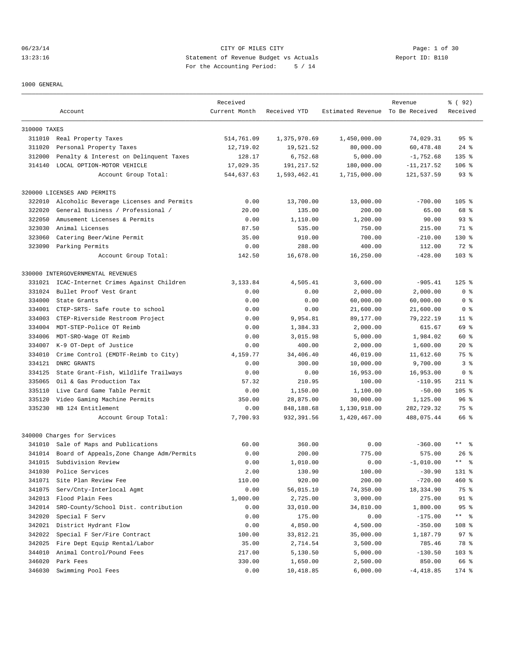06/23/14 CITY OF MILES CITY Page: 1 of 30 13:23:16 Statement of Revenue Budget vs Actuals Report ID: B110 For the Accounting Period: 5 / 14

1000 GENERAL

|              |                                                           | Received      |                      |                                  | Revenue            | % ( 92 )               |
|--------------|-----------------------------------------------------------|---------------|----------------------|----------------------------------|--------------------|------------------------|
|              | Account                                                   | Current Month | Received YTD         | Estimated Revenue To Be Received |                    | Received               |
| 310000 TAXES |                                                           |               |                      |                                  |                    |                        |
|              | 311010 Real Property Taxes                                | 514,761.09    | 1,375,970.69         | 1,450,000.00                     | 74,029.31          | 95 <sup>8</sup>        |
| 311020       | Personal Property Taxes                                   | 12,719.02     | 19,521.52            | 80,000.00                        | 60,478.48          | $24$ %                 |
| 312000       | Penalty & Interest on Delinquent Taxes                    | 128.17        | 6,752.68             | 5,000.00                         | $-1,752.68$        | $135$ %                |
| 314140       | LOCAL OPTION-MOTOR VEHICLE                                | 17,029.35     | 191,217.52           | 180,000.00                       | $-11, 217.52$      | $106$ %                |
|              | Account Group Total:                                      | 544,637.63    | 1,593,462.41         | 1,715,000.00                     | 121,537.59         | 93 <sup>8</sup>        |
|              | 320000 LICENSES AND PERMITS                               |               |                      |                                  |                    |                        |
| 322010       | Alcoholic Beverage Licenses and Permits                   | 0.00          | 13,700.00            | 13,000.00                        | $-700.00$          | $105$ %                |
| 322020       | General Business / Professional /                         | 20.00         | 135.00               | 200.00                           | 65.00              | 68 %                   |
| 322050       | Amusement Licenses & Permits                              | 0.00          | 1,110.00             | 1,200.00                         | 90.00              | 93 <sup>8</sup>        |
| 323030       | Animal Licenses                                           | 87.50         | 535.00               | 750.00                           | 215.00             | 71 %                   |
| 323060       | Catering Beer/Wine Permit                                 | 35.00         | 910.00               | 700.00                           | $-210.00$          | $130*$                 |
|              | 323090 Parking Permits                                    | 0.00          | 288.00               | 400.00                           |                    | 72 %                   |
|              |                                                           |               |                      |                                  | 112.00             |                        |
|              | Account Group Total:                                      | 142.50        | 16,678.00            | 16,250.00                        | $-428.00$          | $103$ %                |
|              | 330000 INTERGOVERNMENTAL REVENUES                         |               |                      |                                  |                    |                        |
| 331021       | ICAC-Internet Crimes Against Children                     | 3,133.84      | 4,505.41             | 3,600.00                         | $-905.41$          | $125$ %                |
| 331024       | Bullet Proof Vest Grant                                   | 0.00          | 0.00                 | 2,000.00                         | 2,000.00           | 0 <sup>8</sup>         |
| 334000       | State Grants                                              | 0.00          | 0.00                 | 60,000.00                        | 60,000.00          | 0 <sub>8</sub>         |
| 334001       | CTEP-SRTS- Safe route to school                           | 0.00          | 0.00                 | 21,600.00                        | 21,600.00          | 0 %                    |
| 334003       | CTEP-Riverside Restroom Project                           | 0.00          | 9,954.81             | 89,177.00                        | 79,222.19          | $11$ %                 |
| 334004       | MDT-STEP-Police OT Reimb                                  | 0.00          | 1,384.33             | 2,000.00                         | 615.67             | 69 %                   |
| 334006       | MDT-SRO-Wage OT Reimb                                     | 0.00          | 3,015.98             | 5,000.00                         | 1,984.02           | 60 %                   |
| 334007       | K-9 OT-Dept of Justice                                    | 0.00          | 400.00               | 2,000.00                         | 1,600.00           | $20*$                  |
| 334010       | Crime Control (EMDTF-Reimb to City)                       | 4,159.77      | 34,406.40            | 46,019.00                        | 11,612.60          | 75 %                   |
| 334121       | DNRC GRANTS                                               | 0.00          | 300.00               | 10,000.00                        | 9,700.00           | 3 <sup>8</sup>         |
| 334125       | State Grant-Fish, Wildlife Trailways                      | 0.00          | 0.00                 | 16,953.00                        | 16,953.00          | 0 <sub>8</sub>         |
| 335065       | Oil & Gas Production Tax                                  | 57.32         | 210.95               | 100.00                           | $-110.95$          | $211$ %                |
| 335110       | Live Card Game Table Permit                               | 0.00          | 1,150.00             | 1,100.00                         | $-50.00$           | $105$ %                |
| 335120       | Video Gaming Machine Permits                              | 350.00        | 28,875.00            | 30,000.00                        | 1,125.00           | 96%                    |
| 335230       | HB 124 Entitlement                                        | 0.00          | 848,188.68           | 1,130,918.00                     | 282,729.32         | 75 %                   |
|              | Account Group Total:                                      | 7,700.93      | 932,391.56           | 1,420,467.00                     | 488,075.44         | 66 %                   |
|              | 340000 Charges for Services                               |               |                      |                                  |                    |                        |
| 341010       | Sale of Maps and Publications                             | 60.00         | 360.00               | 0.00                             | $-360.00$          | $***$ $%$              |
| 341014       | Board of Appeals, Zone Change Adm/Permits                 | 0.00          | 200.00               | 775.00                           | 575.00             | $26$ %                 |
| 341015       | Subdivision Review                                        | 0.00          | 1,010.00             | 0.00                             | $-1.010.00$        | $\star$ $\star$<br>ু ⊱ |
| 341030       | Police Services                                           | 2.00          | 130.90               | 100.00                           | $-30.90$           | 131 %                  |
| 341071       | Site Plan Review Fee                                      | 110.00        | 920.00               | 200.00                           | $-720.00$          | 460 %                  |
| 341075       | Serv/Cnty-Interlocal Agmt                                 | 0.00          | 56,015.10            | 74,350.00                        | 18,334.90          | 75 %                   |
| 342013       | Flood Plain Fees                                          | 1,000.00      | 2,725.00             | 3,000.00                         | 275.00             | $91$ %                 |
| 342014       | SRO-County/School Dist. contribution                      | 0.00          | 33,010.00            | 34,810.00                        | 1,800.00           | 95%                    |
| 342020       | Special F Serv                                            | 0.00          | 175.00               | 0.00                             | $-175.00$          | $***$ $ \frac{6}{9}$   |
| 342021       | District Hydrant Flow                                     | 0.00          | 4,850.00             | 4,500.00                         | $-350.00$          | 108 %                  |
| 342022       | Special F Ser/Fire Contract                               | 100.00        |                      |                                  |                    | 97%                    |
| 342025       |                                                           | 35.00         | 33,812.21            | 35,000.00                        | 1,187.79<br>785.46 | 78 %                   |
| 344010       | Fire Dept Equip Rental/Labor<br>Animal Control/Pound Fees | 217.00        | 2,714.54<br>5,130.50 | 3,500.00                         |                    |                        |
| 346020       | Park Fees                                                 | 330.00        |                      | 5,000.00                         | $-130.50$          | 103 %<br>66 %          |
|              |                                                           |               | 1,650.00             | 2,500.00                         | 850.00             |                        |
| 346030       | Swimming Pool Fees                                        | 0.00          | 10,418.85            | 6,000.00                         | $-4,418.85$        | 174 %                  |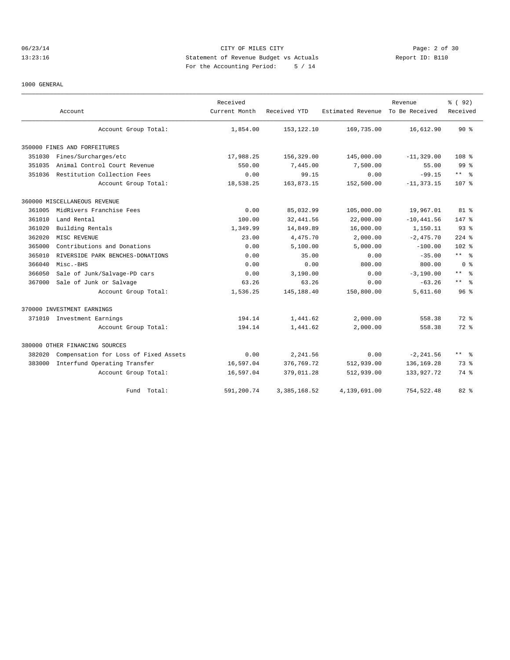# 06/23/14 Page: 2 of 30 13:23:16 Statement of Revenue Budget vs Actuals Report ID: B110 For the Accounting Period: 5 / 14

#### 1000 GENERAL

|        | Account                               | Received<br>Current Month | Received YTD   | Estimated Revenue To Be Received | Revenue       | % ( 92)<br>Received  |
|--------|---------------------------------------|---------------------------|----------------|----------------------------------|---------------|----------------------|
|        | Account Group Total:                  | 1,854.00                  | 153, 122. 10   | 169,735.00                       | 16,612.90     | 90%                  |
|        | 350000 FINES AND FORFEITURES          |                           |                |                                  |               |                      |
| 351030 | Fines/Surcharges/etc                  | 17,988.25                 | 156,329.00     | 145,000.00                       | $-11, 329.00$ | 108 <sup>8</sup>     |
| 351035 | Animal Control Court Revenue          | 550.00                    | 7,445.00       | 7,500.00                         | 55.00         | 99 <sup>8</sup>      |
| 351036 | Restitution Collection Fees           | 0.00                      | 99.15          | 0.00                             | $-99.15$      | $***$ %              |
|        | Account Group Total:                  | 18,538.25                 | 163,873.15     | 152,500.00                       | $-11, 373.15$ | 107 <sub>8</sub>     |
|        | 360000 MISCELLANEOUS REVENUE          |                           |                |                                  |               |                      |
| 361005 | MidRivers Franchise Fees              | 0.00                      | 85,032.99      | 105,000.00                       | 19,967.01     | 81 %                 |
| 361010 | Land Rental                           | 100.00                    | 32, 441.56     | 22,000.00                        | $-10, 441.56$ | 147 %                |
| 361020 | Building Rentals                      | 1,349.99                  | 14,849.89      | 16,000.00                        | 1,150.11      | 93 <sup>°</sup>      |
| 362020 | MISC REVENUE                          | 23.00                     | 4,475.70       | 2,000.00                         | $-2,475.70$   | $224$ %              |
| 365000 | Contributions and Donations           | 0.00                      | 5.100.00       | 5.000.00                         | $-100.00$     | $102*$               |
| 365010 | RIVERSIDE PARK BENCHES-DONATIONS      | 0.00                      | 35.00          | 0.00                             | $-35.00$      | $***$ %              |
| 366040 | Misc.-BHS                             | 0.00                      | 0.00           | 800.00                           | 800.00        | 0 <sup>8</sup>       |
| 366050 | Sale of Junk/Salvage-PD cars          | 0.00                      | 3,190.00       | 0.00                             | $-3,190.00$   | $***$ %              |
| 367000 | Sale of Junk or Salvage               | 63.26                     | 63.26          | 0.00                             | $-63.26$      | $***$ $ \frac{6}{9}$ |
|        | Account Group Total:                  | 1,536.25                  | 145, 188.40    | 150,800.00                       | 5,611.60      | 96 <sup>°</sup>      |
|        | 370000 INVESTMENT EARNINGS            |                           |                |                                  |               |                      |
|        | 371010 Investment Earnings            | 194.14                    | 1,441.62       | 2,000.00                         | 558.38        | $72$ $%$             |
|        | Account Group Total:                  | 194.14                    | 1,441.62       | 2,000.00                         | 558.38        | $72$ $%$             |
|        | 380000 OTHER FINANCING SOURCES        |                           |                |                                  |               |                      |
| 382020 | Compensation for Loss of Fixed Assets | 0.00                      | 2,241.56       | 0.00                             | $-2, 241.56$  | $***$ $\approx$      |
| 383000 | Interfund Operating Transfer          | 16,597.04                 | 376,769.72     | 512,939.00                       | 136, 169.28   | 73.8                 |
|        | Account Group Total:                  | 16,597.04                 | 379,011.28     | 512,939.00                       | 133,927.72    | 74 %                 |
|        | Total:<br>Fund                        | 591,200.74                | 3, 385, 168.52 | 4,139,691.00                     | 754,522.48    | $82*$                |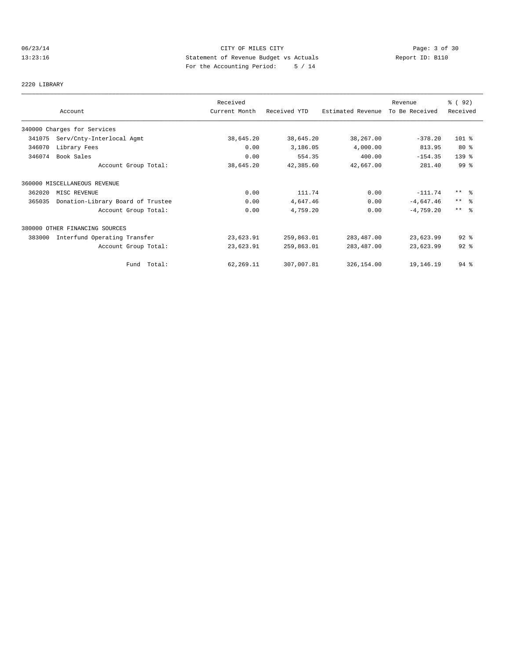# 06/23/14 CITY OF MILES CITY Page: 3 of 30<br>13:23:16 Statement of Revenue Budget vs Actuals Report ID: B110<br>Por the Accumular Deviced: C. (11) 13:23:16 Statement of Revenue Budget vs Actuals Report ID: B110 For the Accounting Period: 5 / 14

2220 LIBRARY

|        |                                   | Received      |              |                   | Revenue        | % ( 92 )        |
|--------|-----------------------------------|---------------|--------------|-------------------|----------------|-----------------|
|        | Account                           | Current Month | Received YTD | Estimated Revenue | To Be Received | Received        |
|        | 340000 Charges for Services       |               |              |                   |                |                 |
| 341075 | Serv/Cnty-Interlocal Agmt         | 38,645.20     | 38,645.20    | 38,267.00         | $-378.20$      | $101$ %         |
| 346070 | Library Fees                      | 0.00          | 3,186.05     | 4,000.00          | 813.95         | $80*$           |
| 346074 | Book Sales                        | 0.00          | 554.35       | 400.00            | $-154.35$      | $139$ $%$       |
|        | Account Group Total:              | 38,645.20     | 42,385.60    | 42,667.00         | 281.40         | 99 %            |
|        | 360000 MISCELLANEOUS REVENUE      |               |              |                   |                |                 |
| 362020 | MISC REVENUE                      | 0.00          | 111.74       | 0.00              | $-111.74$      | $***$ %         |
| 365035 | Donation-Library Board of Trustee | 0.00          | 4,647.46     | 0.00              | $-4,647.46$    | $***$ $\approx$ |
|        | Account Group Total:              | 0.00          | 4,759.20     | 0.00              | $-4,759.20$    | $***$ $\approx$ |
|        | 380000 OTHER FINANCING SOURCES    |               |              |                   |                |                 |
| 383000 | Interfund Operating Transfer      | 23,623.91     | 259,863.01   | 283, 487.00       | 23,623.99      | $92$ $%$        |
|        | Account Group Total:              | 23,623.91     | 259,863.01   | 283,487.00        | 23,623.99      | $92$ $%$        |
|        | Fund Total:                       | 62,269.11     | 307,007.81   | 326,154.00        | 19,146.19      | $94$ %          |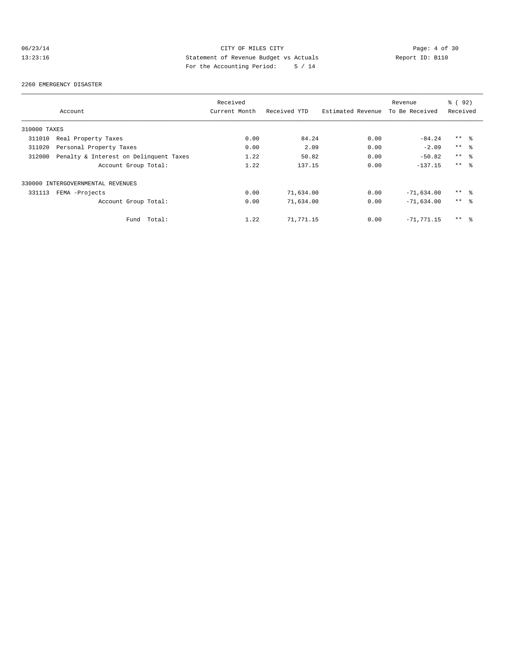# 06/23/14 CITY OF MILES CITY Page: 4 of 30<br>13:23:16 Statement of Revenue Budget vs Actuals Report ID: B110<br>Por the Accumular Deviced: C. (11) 13:23:16 Statement of Revenue Budget vs Actuals Report ID: B110 For the Accounting Period: 5 / 14

#### 2260 EMERGENCY DISASTER

|              |                                        | Received      |              |                   | Revenue        | 8 (92)          |  |
|--------------|----------------------------------------|---------------|--------------|-------------------|----------------|-----------------|--|
|              | Account                                | Current Month | Received YTD | Estimated Revenue | To Be Received | Received        |  |
| 310000 TAXES |                                        |               |              |                   |                |                 |  |
| 311010       | Real Property Taxes                    | 0.00          | 84.24        | 0.00              | $-84.24$       | $***$ %         |  |
| 311020       | Personal Property Taxes                | 0.00          | 2.09         | 0.00              | $-2.09$        | $***$ $\approx$ |  |
| 312000       | Penalty & Interest on Delinquent Taxes | 1.22          | 50.82        | 0.00              | $-50.82$       | $***$ %         |  |
|              | Account Group Total:                   | 1.22          | 137.15       | 0.00              | $-137.15$      | $***$ $\approx$ |  |
|              | 330000 INTERGOVERNMENTAL REVENUES      |               |              |                   |                |                 |  |
| 331113       | FEMA -Projects                         | 0.00          | 71,634.00    | 0.00              | $-71,634.00$   | $***$ %         |  |
|              | Account Group Total:                   | 0.00          | 71,634.00    | 0.00              | $-71,634.00$   | $***$ $\approx$ |  |
|              | Total:<br>Fund                         | 1.22          | 71,771.15    | 0.00              | $-71.771.15$   | $***$ %         |  |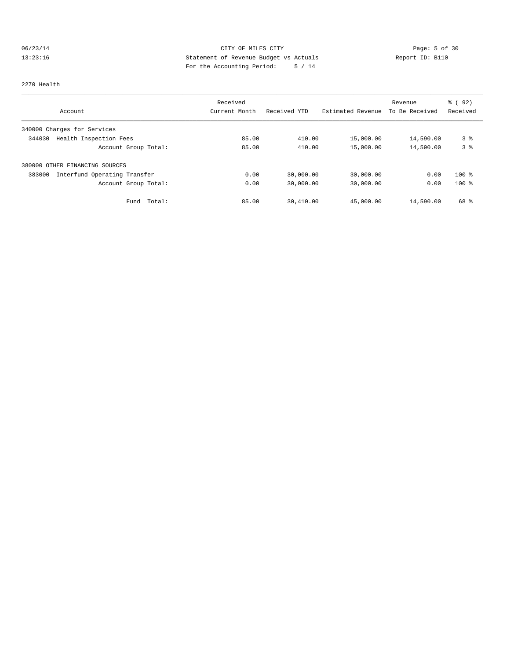# 06/23/14 CITY OF MILES CITY Page: 5 of 30 13:23:16 Statement of Revenue Budget vs Actuals Report ID: B110<br>Report ID: B110 For the Accounting Period: 5 / 14

#### 2270 Health

|                                        | Received      |              |                   | Revenue        | 8 (92)<br>Received |
|----------------------------------------|---------------|--------------|-------------------|----------------|--------------------|
| Account                                | Current Month | Received YTD | Estimated Revenue | To Be Received |                    |
| 340000 Charges for Services            |               |              |                   |                |                    |
| Health Inspection Fees<br>344030       | 85.00         | 410.00       | 15,000.00         | 14,590.00      | 3%                 |
| Account Group Total:                   | 85.00         | 410.00       | 15,000.00         | 14,590.00      | 3%                 |
| 380000 OTHER FINANCING SOURCES         |               |              |                   |                |                    |
| 383000<br>Interfund Operating Transfer | 0.00          | 30,000.00    | 30,000.00         | 0.00           | $100$ %            |
| Account Group Total:                   | 0.00          | 30,000.00    | 30,000.00         | 0.00           | $100*$             |
| Total:<br>Fund                         | 85.00         | 30,410.00    | 45,000.00         | 14,590.00      | 68 %               |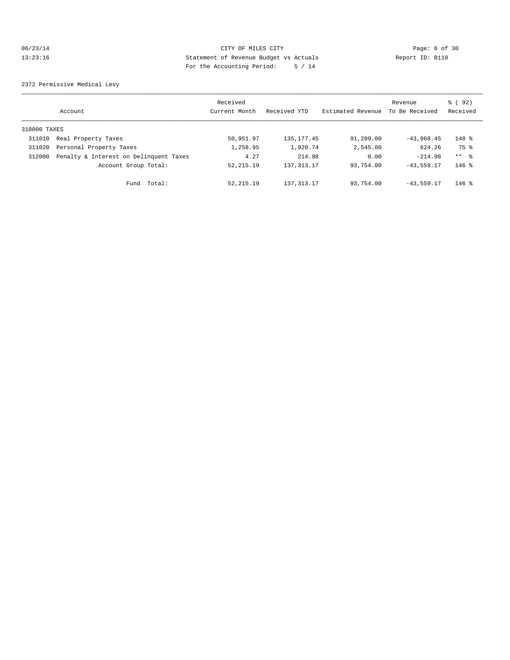# 06/23/14 CITY OF MILES CITY Page: 6 of 30<br>13:23:16 Statement of Revenue Budget vs Actuals Report ID: B110<br>Parths Accuming Dovial:  $\Gamma$ , 11 13:23:16 Statement of Revenue Budget vs Actuals Report ID: B110 For the Accounting Period: 5 / 14

2372 Permissive Medical Levy

|              | Account                                | Received<br>Current Month | Received YTD | Estimated Revenue | Revenue<br>To Be Received | % ( 92 )<br>Received |
|--------------|----------------------------------------|---------------------------|--------------|-------------------|---------------------------|----------------------|
| 310000 TAXES |                                        |                           |              |                   |                           |                      |
| 311010       | Real Property Taxes                    | 50,951.97                 | 135, 177. 45 | 91,209.00         | $-43,968,45$              | $148$ %              |
| 311020       | Personal Property Taxes                | 1,258.95                  | 1,920.74     | 2,545.00          | 624.26                    | 75 %                 |
| 312000       | Penalty & Interest on Delinquent Taxes | 4.27                      | 214.98       | 0.00              | $-214.98$                 | ** 응                 |
|              | Account Group Total:                   | 52, 215.19                | 137, 313.17  | 93,754.00         | $-43, 559, 17$            | $146$ %              |
|              | Total:<br>Fund                         | 52, 215.19                | 137, 313.17  | 93,754.00         | $-43, 559.17$             | $146$ %              |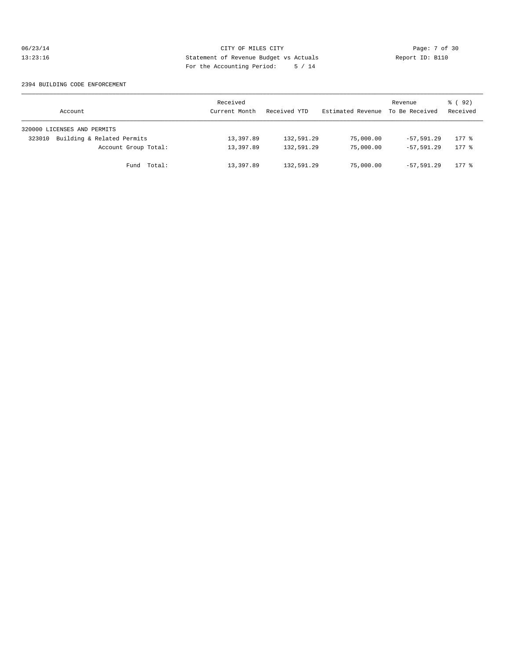# 06/23/14 CITY OF MILES CITY Page: 7 of 30<br>13:23:16 Statement of Revenue Budget vs Actuals Report ID: B110<br>Por the Accumular Deviced: 5 (11) Statement of Revenue Budget vs Actuals 13:23:16 Statement of Revenue Budget vs Actuals Report ID: B110 For the Accounting Period: 5 / 14

#### 2394 BUILDING CODE ENFORCEMENT

| Account                              | Received<br>Current Month | Received YTD | Estimated Revenue | Revenue<br>To Be Received | 8 (92)<br>Received  |
|--------------------------------------|---------------------------|--------------|-------------------|---------------------------|---------------------|
| 320000 LICENSES AND PERMITS          |                           |              |                   |                           |                     |
| Building & Related Permits<br>323010 | 13,397.89                 | 132,591.29   | 75,000.00         | $-57.591.29$              | $177$ $\approx$     |
| Account Group Total:                 | 13,397.89                 | 132,591.29   | 75,000.00         | $-57.591.29$              | $177$ $\frac{6}{5}$ |
| Fund Total:                          | 13,397.89                 | 132,591.29   | 75,000.00         | $-57.591.29$              | $177$ $\approx$     |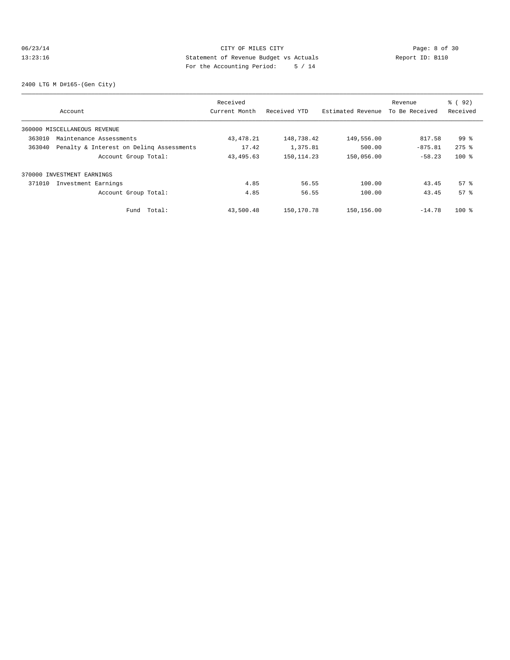# 06/23/14 CITY OF MILES CITY Page: 8 of 30<br>13:23:16 Statement of Revenue Budget vs Actuals Report ID: B110<br>Por the Accumular Deviced: C. (11) 13:23:16 Statement of Revenue Budget vs Actuals Report ID: B110 For the Accounting Period: 5 / 14

2400 LTG M D#165-(Gen City)

|        |                                          | Received      |              |                   | Revenue        | % ( 92 )           |
|--------|------------------------------------------|---------------|--------------|-------------------|----------------|--------------------|
|        | Account                                  | Current Month | Received YTD | Estimated Revenue | To Be Received | Received           |
|        | 360000 MISCELLANEOUS REVENUE             |               |              |                   |                |                    |
| 363010 | Maintenance Assessments                  | 43, 478. 21   | 148,738.42   | 149,556.00        | 817.58         | $99*$              |
| 363040 | Penalty & Interest on Deling Assessments | 17.42         | 1,375.81     | 500.00            | $-875.81$      | $275$ $%$          |
|        | Account Group Total:                     | 43, 495.63    | 150, 114.23  | 150,056.00        | $-58.23$       | $100$ %            |
|        | 370000 INVESTMENT EARNINGS               |               |              |                   |                |                    |
| 371010 | Investment Earnings                      | 4.85          | 56.55        | 100.00            | 43.45          | $57$ $\frac{6}{3}$ |
|        | Account Group Total:                     | 4.85          | 56.55        | 100.00            | 43.45          | 57 <sup>8</sup>    |
|        | Total:<br>Fund                           | 43,500.48     | 150,170.78   | 150, 156.00       | $-14.78$       | $100*$             |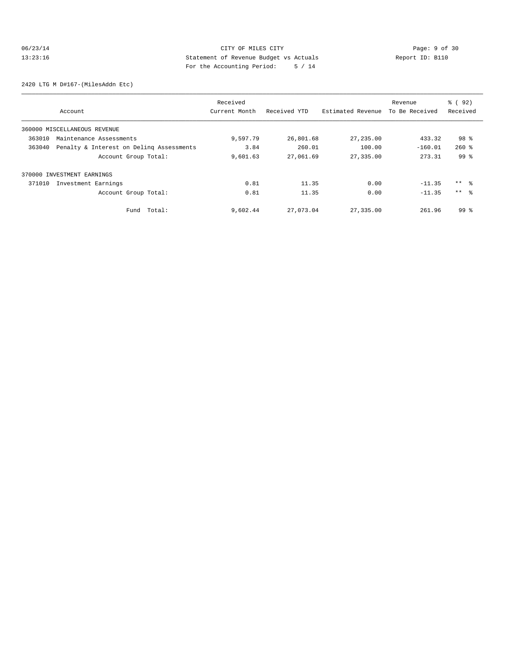# 06/23/14 CITY OF MILES CITY CHES CITY Page: 9 of 30<br>13:23:16 Statement of Revenue Budget vs Actuals Report ID: B110<br>2011 Pay the Accumulation Period: F. (14 13:23:16 Statement of Revenue Budget vs Actuals Report ID: B110 For the Accounting Period: 5 / 14

2420 LTG M D#167-(MilesAddn Etc)

|        |                                          | Received      |              |                   | Revenue        | $\frac{6}{6}$ (92) |
|--------|------------------------------------------|---------------|--------------|-------------------|----------------|--------------------|
|        | Account                                  | Current Month | Received YTD | Estimated Revenue | To Be Received | Received           |
|        | 360000 MISCELLANEOUS REVENUE             |               |              |                   |                |                    |
| 363010 | Maintenance Assessments                  | 9,597.79      | 26,801.68    | 27,235.00         | 433.32         | 98 %               |
| 363040 | Penalty & Interest on Deling Assessments | 3.84          | 260.01       | 100.00            | $-160.01$      | $260$ %            |
|        | Account Group Total:                     | 9,601.63      | 27,061.69    | 27,335.00         | 273.31         | 99 <sup>8</sup>    |
|        | 370000 INVESTMENT EARNINGS               |               |              |                   |                |                    |
| 371010 | Investment Earnings                      | 0.81          | 11.35        | 0.00              | $-11.35$       | ** 왕               |
|        | Account Group Total:                     | 0.81          | 11.35        | 0.00              | $-11.35$       | $***$ %            |
|        | Total:<br>Fund                           | 9,602.44      | 27,073.04    | 27,335.00         | 261.96         | 99 <sup>8</sup>    |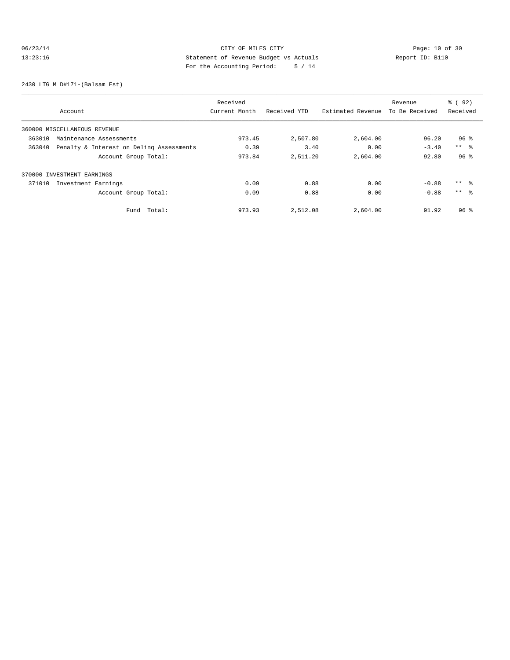# 06/23/14 Page: 10 of 30 13:23:16 Statement of Revenue Budget vs Actuals Report ID: B110<br>Report ID: B110 For the Accounting Period: 5 / 14

2430 LTG M D#171-(Balsam Est)

|                                                    | Received      |              | Revenue           |                | $\frac{6}{6}$ (92) |
|----------------------------------------------------|---------------|--------------|-------------------|----------------|--------------------|
| Account                                            | Current Month | Received YTD | Estimated Revenue | To Be Received | Received           |
| 360000 MISCELLANEOUS REVENUE                       |               |              |                   |                |                    |
| 363010<br>Maintenance Assessments                  | 973.45        | 2,507.80     | 2,604.00          | 96.20          | 96 <sup>8</sup>    |
| Penalty & Interest on Deling Assessments<br>363040 | 0.39          | 3.40         | 0.00              | $-3.40$        | $***$ $ -$         |
| Account Group Total:                               | 973.84        | 2,511.20     | 2,604.00          | 92.80          | 96 <sup>°</sup>    |
| 370000 INVESTMENT EARNINGS                         |               |              |                   |                |                    |
| 371010<br>Investment Earnings                      | 0.09          | 0.88         | 0.00              | $-0.88$        | $***$ %            |
| Account Group Total:                               | 0.09          | 0.88         | 0.00              | $-0.88$        | $***$ $\approx$    |
| Total:<br>Fund                                     | 973.93        | 2,512.08     | 2,604.00          | 91.92          | 96 <sup>8</sup>    |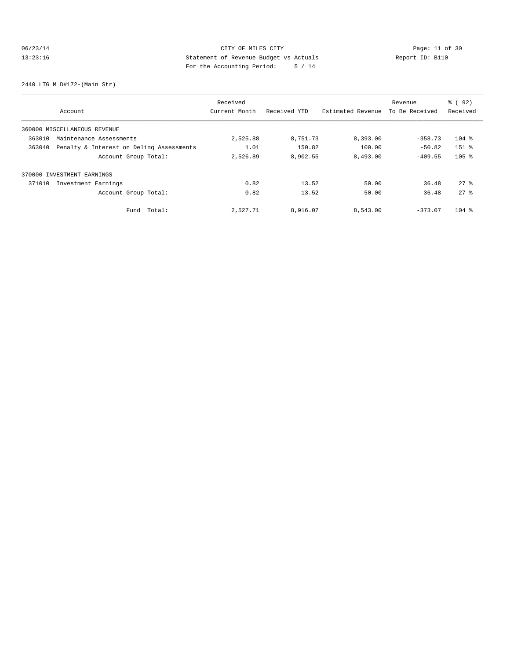# 06/23/14 Page: 11 of 30 13:23:16 Statement of Revenue Budget vs Actuals Report ID: B110 For the Accounting Period: 5 / 14

2440 LTG M D#172-(Main Str)

|        |                                          | Received      |              |                   | Revenue        | $\frac{6}{6}$ (92) |
|--------|------------------------------------------|---------------|--------------|-------------------|----------------|--------------------|
|        | Account                                  | Current Month | Received YTD | Estimated Revenue | To Be Received | Received           |
|        | 360000 MISCELLANEOUS REVENUE             |               |              |                   |                |                    |
| 363010 | Maintenance Assessments                  | 2,525.88      | 8,751.73     | 8,393.00          | $-358.73$      | $104$ %            |
| 363040 | Penalty & Interest on Deling Assessments | 1.01          | 150.82       | 100.00            | $-50.82$       | $151$ %            |
|        | Account Group Total:                     | 2,526.89      | 8,902.55     | 8,493.00          | $-409.55$      | $105$ %            |
|        | 370000 INVESTMENT EARNINGS               |               |              |                   |                |                    |
| 371010 | Investment Earnings                      | 0.82          | 13.52        | 50.00             | 36.48          | 278                |
|        | Account Group Total:                     | 0.82          | 13.52        | 50.00             | 36.48          | 278                |
|        | Fund Total:                              | 2.527.71      | 8,916.07     | 8,543.00          | $-373.07$      | $104$ %            |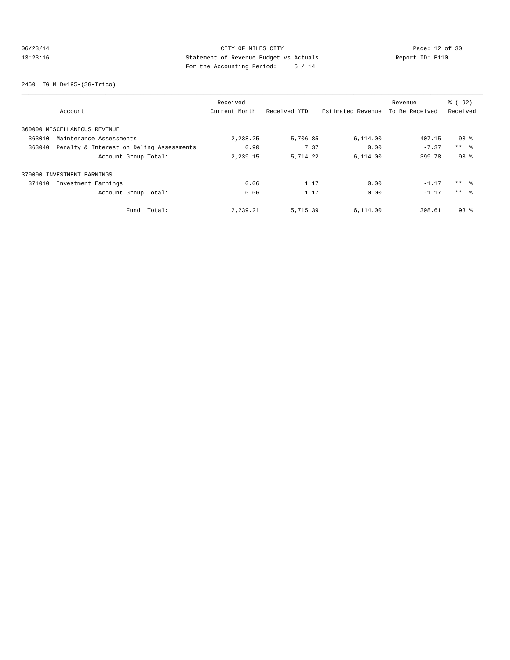# 06/23/14 Page: 12 of 30<br>13:23:16 CITY OF MILES CITY Page: 12 of 30<br>13:23:16 Statement of Revenue Budget vs Actuals<br>For the Accounting Dominal: E. (14 13:23:16 Statement of Revenue Budget vs Actuals Report ID: B110 For the Accounting Period: 5 / 14

2450 LTG M D#195-(SG-Trico)

|        |                                          | Received      |              |                   | Revenue        | % ( 92)    |
|--------|------------------------------------------|---------------|--------------|-------------------|----------------|------------|
|        | Account                                  | Current Month | Received YTD | Estimated Revenue | To Be Received | Received   |
|        | 360000 MISCELLANEOUS REVENUE             |               |              |                   |                |            |
| 363010 | Maintenance Assessments                  | 2,238.25      | 5,706.85     | 6,114.00          | 407.15         | $93$ $%$   |
| 363040 | Penalty & Interest on Deling Assessments | 0.90          | 7.37         | 0.00              | $-7.37$        | $***$ $ -$ |
|        | Account Group Total:                     | 2,239.15      | 5,714.22     | 6,114.00          | 399.78         | $93$ $%$   |
|        | 370000 INVESTMENT EARNINGS               |               |              |                   |                |            |
| 371010 | Investment Earnings                      | 0.06          | 1.17         | 0.00              | $-1.17$        | $***$ 8    |
|        | Account Group Total:                     | 0.06          | 1.17         | 0.00              | $-1.17$        | $***$ 8    |
|        | Fund Total:                              | 2,239.21      | 5,715.39     | 6.114.00          | 398.61         | $93$ $%$   |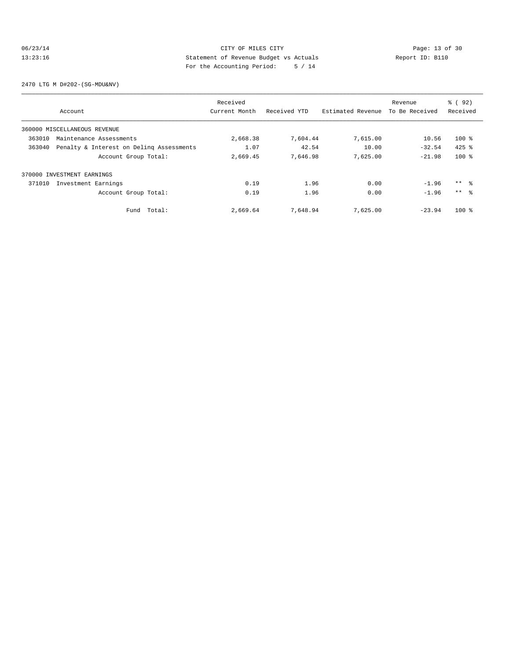# 06/23/14 Page: 13 of 30 13:23:16 Statement of Revenue Budget vs Actuals Report ID: B110<br>Report ID: B110 For the Accounting Period: 5 / 14

2470 LTG M D#202-(SG-MDU&NV)

|        |                                          | Received      |              |                   | Revenue        | % ( 92)  |
|--------|------------------------------------------|---------------|--------------|-------------------|----------------|----------|
|        | Account                                  | Current Month | Received YTD | Estimated Revenue | To Be Received | Received |
|        | 360000 MISCELLANEOUS REVENUE             |               |              |                   |                |          |
| 363010 | Maintenance Assessments                  | 2,668.38      | 7,604.44     | 7,615.00          | 10.56          | $100*$   |
| 363040 | Penalty & Interest on Deling Assessments | 1.07          | 42.54        | 10.00             | $-32.54$       | $425$ %  |
|        | Account Group Total:                     | 2,669.45      | 7,646.98     | 7,625.00          | $-21.98$       | $100*$   |
|        | 370000 INVESTMENT EARNINGS               |               |              |                   |                |          |
| 371010 | Investment Earnings                      | 0.19          | 1.96         | 0.00              | $-1.96$        | $***$ 8  |
|        | Account Group Total:                     | 0.19          | 1.96         | 0.00              | $-1.96$        | $***$ 8  |
|        | Fund Total:                              | 2,669.64      | 7,648.94     | 7,625.00          | $-23.94$       | $100*$   |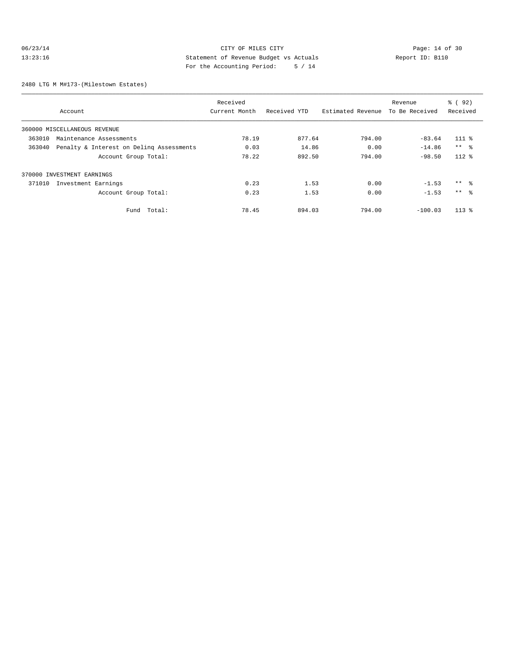# 06/23/14 Page: 14 of 30<br>13:23:16 CITY OF MILES CITY Page: 14 of 30<br>13:23:16 Statement of Revenue Budget vs Actuals<br>For the Accounting Positeir Positeir (14 13:23:16 Statement of Revenue Budget vs Actuals Report ID: B110 For the Accounting Period: 5 / 14

2480 LTG M M#173-(Milestown Estates)

|        |                                          | Received      |              |                   | Revenue        | $\frac{6}{6}$ (92) |
|--------|------------------------------------------|---------------|--------------|-------------------|----------------|--------------------|
|        | Account                                  | Current Month | Received YTD | Estimated Revenue | To Be Received | Received           |
|        | 360000 MISCELLANEOUS REVENUE             |               |              |                   |                |                    |
| 363010 | Maintenance Assessments                  | 78.19         | 877.64       | 794.00            | $-83.64$       | $111*$             |
| 363040 | Penalty & Interest on Deling Assessments | 0.03          | 14.86        | 0.00              | $-14.86$       | $***$ %            |
|        | Account Group Total:                     | 78.22         | 892.50       | 794.00            | $-98.50$       | $112*$             |
|        | 370000 INVESTMENT EARNINGS               |               |              |                   |                |                    |
| 371010 | Investment Earnings                      | 0.23          | 1.53         | 0.00              | $-1.53$        | $***$ $\approx$    |
|        | Account Group Total:                     | 0.23          | 1.53         | 0.00              | $-1.53$        | $***$ %            |
|        | Total:<br>Fund                           | 78.45         | 894.03       | 794.00            | $-100.03$      | $113*$             |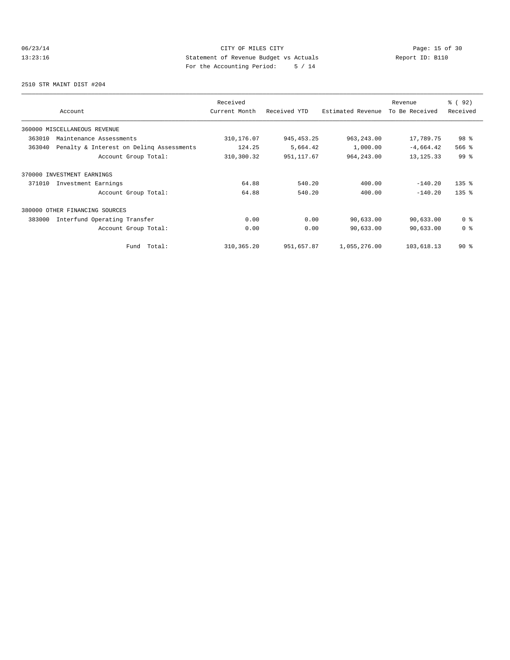# 06/23/14 Page: 15 of 30 13:23:16 Statement of Revenue Budget vs Actuals Report ID: B110<br>Report ID: B110 For the Accounting Period: 5 / 14

2510 STR MAINT DIST #204

| Account                                            | Received<br>Current Month | Received YTD | Estimated Revenue | Revenue<br>To Be Received | % ( 92 )<br>Received |
|----------------------------------------------------|---------------------------|--------------|-------------------|---------------------------|----------------------|
| 360000 MISCELLANEOUS REVENUE                       |                           |              |                   |                           |                      |
| 363010<br>Maintenance Assessments                  | 310,176.07                | 945, 453.25  | 963, 243.00       | 17,789.75                 | 98 %                 |
| 363040<br>Penalty & Interest on Deling Assessments | 124.25                    | 5,664.42     | 1,000.00          | $-4,664.42$               | 566 %                |
| Account Group Total:                               | 310,300.32                | 951, 117.67  | 964, 243.00       | 13, 125. 33               | 99 <sup>°</sup>      |
| 370000 INVESTMENT EARNINGS                         |                           |              |                   |                           |                      |
| Investment Earnings<br>371010                      | 64.88                     | 540.20       | 400.00            | $-140.20$                 | $135$ $%$            |
| Account Group Total:                               | 64.88                     | 540.20       | 400.00            | $-140.20$                 | $135$ $%$            |
| 380000<br>OTHER FINANCING SOURCES                  |                           |              |                   |                           |                      |
| 383000<br>Interfund Operating Transfer             | 0.00                      | 0.00         | 90,633.00         | 90,633.00                 | 0 <sup>8</sup>       |
| Account Group Total:                               | 0.00                      | 0.00         | 90,633.00         | 90,633.00                 | 0 <sup>8</sup>       |
| Total:<br>Fund                                     | 310, 365.20               | 951,657.87   | 1,055,276.00      | 103,618.13                | $90*$                |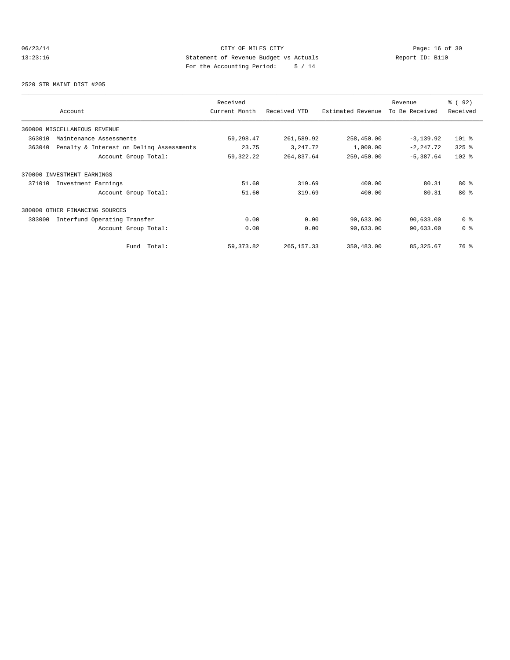# 06/23/14 Page: 16 of 30 13:23:16 Statement of Revenue Budget vs Actuals Report ID: B110<br>Report ID: B110 For the Accounting Period: 5 / 14

2520 STR MAINT DIST #205

| Account                                            | Received<br>Current Month | Received YTD | Estimated Revenue | Revenue<br>To Be Received | % ( 92 )<br>Received |
|----------------------------------------------------|---------------------------|--------------|-------------------|---------------------------|----------------------|
| 360000 MISCELLANEOUS REVENUE                       |                           |              |                   |                           |                      |
| 363010<br>Maintenance Assessments                  | 59,298.47                 | 261,589.92   | 258,450.00        | $-3, 139.92$              | $101$ %              |
| 363040<br>Penalty & Interest on Deling Assessments | 23.75                     | 3, 247. 72   | 1,000.00          | $-2, 247, 72$             | $325$ $%$            |
| Account Group Total:                               | 59, 322. 22               | 264,837.64   | 259,450.00        | $-5,387.64$               | $102$ %              |
| 370000 INVESTMENT EARNINGS                         |                           |              |                   |                           |                      |
| Investment Earnings<br>371010                      | 51.60                     | 319.69       | 400.00            | 80.31                     | $80*$                |
| Account Group Total:                               | 51.60                     | 319.69       | 400.00            | 80.31                     | $80*$                |
| 380000<br>OTHER FINANCING SOURCES                  |                           |              |                   |                           |                      |
| 383000<br>Interfund Operating Transfer             | 0.00                      | 0.00         | 90,633.00         | 90,633.00                 | 0 <sup>8</sup>       |
| Account Group Total:                               | 0.00                      | 0.00         | 90,633.00         | 90,633.00                 | 0 <sup>8</sup>       |
| Total:<br>Fund                                     | 59, 373.82                | 265, 157.33  | 350,483.00        | 85, 325.67                | 76 %                 |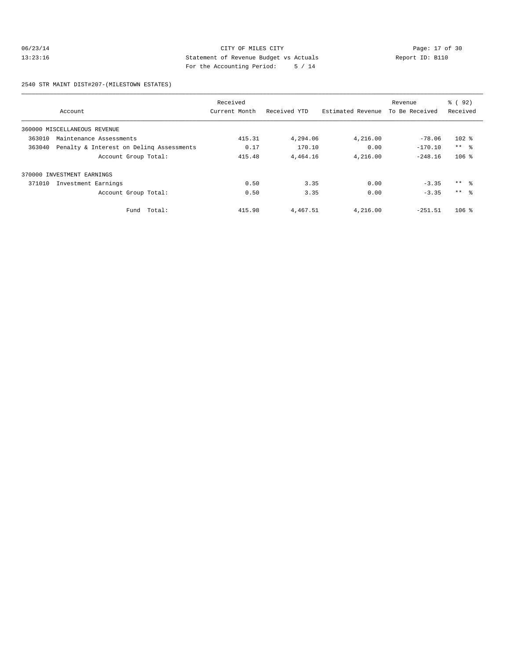# 06/23/14 Page: 17 of 30 13:23:16 Statement of Revenue Budget vs Actuals Report ID: B110 For the Accounting Period: 5 / 14

2540 STR MAINT DIST#207-(MILESTOWN ESTATES)

|        |                                          | Received      |              |                   | Revenue        | $\frac{6}{6}$ (92) |
|--------|------------------------------------------|---------------|--------------|-------------------|----------------|--------------------|
|        | Account                                  | Current Month | Received YTD | Estimated Revenue | To Be Received | Received           |
|        | 360000 MISCELLANEOUS REVENUE             |               |              |                   |                |                    |
| 363010 | Maintenance Assessments                  | 415.31        | 4,294.06     | 4,216.00          | $-78.06$       | $102$ %            |
| 363040 | Penalty & Interest on Deling Assessments | 0.17          | 170.10       | 0.00              | $-170.10$      | $***$ $ -$         |
|        | Account Group Total:                     | 415.48        | 4,464.16     | 4,216.00          | $-248.16$      | $106$ %            |
|        | 370000 INVESTMENT EARNINGS               |               |              |                   |                |                    |
| 371010 | Investment Earnings                      | 0.50          | 3.35         | 0.00              | $-3.35$        | ** 왕               |
|        | Account Group Total:                     | 0.50          | 3.35         | 0.00              | $-3.35$        | $***$ $\approx$    |
|        | Fund Total:                              | 415.98        | 4,467.51     | 4,216.00          | $-251.51$      | $106$ %            |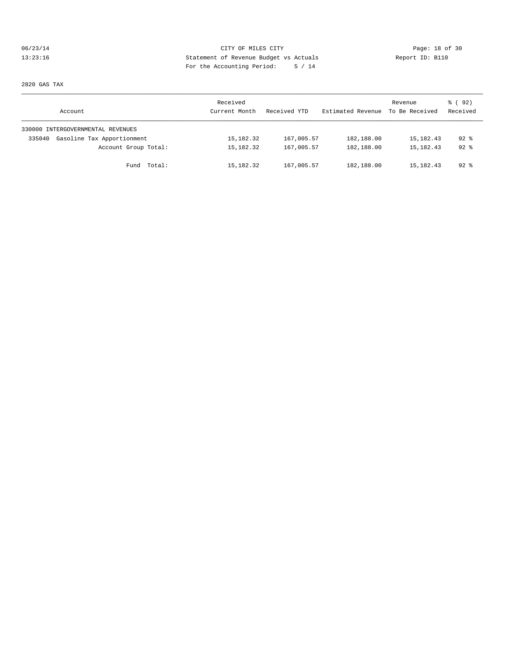# 06/23/14 Page: 18 of 30 13:23:16 Statement of Revenue Budget vs Actuals Report ID: B110 For the Accounting Period: 5 / 14

2820 GAS TAX

| Account                              | Received<br>Current Month | Received YTD | Estimated Revenue | Revenue<br>To Be Received | 8 (92)<br>Received |
|--------------------------------------|---------------------------|--------------|-------------------|---------------------------|--------------------|
| 330000 INTERGOVERNMENTAL REVENUES    |                           |              |                   |                           |                    |
| Gasoline Tax Apportionment<br>335040 | 15,182.32                 | 167,005.57   | 182,188.00        | 15,182.43                 | $92$ $%$           |
| Account Group Total:                 | 15,182.32                 | 167,005.57   | 182,188.00        | 15,182.43                 | $92$ $%$           |
| Fund Total:                          | 15,182.32                 | 167,005.57   | 182,188.00        | 15,182.43                 | $92$ %             |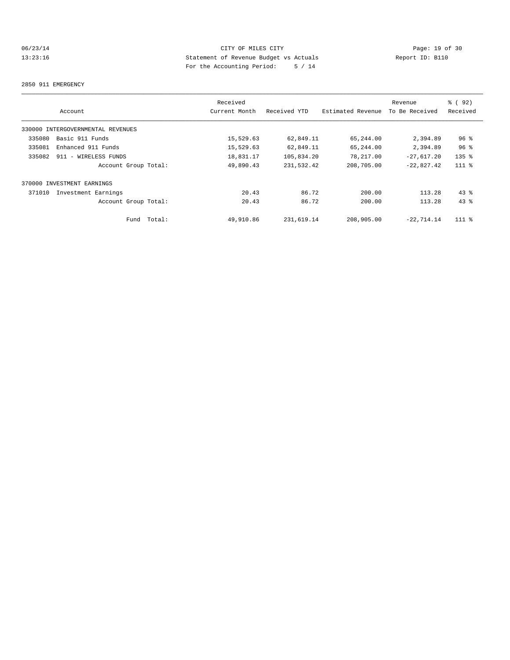# 06/23/14 CITY OF MILES CITY Page: 19 of 30 13:23:16 Statement of Revenue Budget vs Actuals Report ID: B110 For the Accounting Period: 5 / 14

#### 2850 911 EMERGENCY

|        |                                   |        | Received      |              |                   | Revenue        | % ( 92 )        |
|--------|-----------------------------------|--------|---------------|--------------|-------------------|----------------|-----------------|
|        | Account                           |        | Current Month | Received YTD | Estimated Revenue | To Be Received | Received        |
|        | 330000 INTERGOVERNMENTAL REVENUES |        |               |              |                   |                |                 |
| 335080 | Basic 911 Funds                   |        | 15,529.63     | 62,849.11    | 65,244.00         | 2,394.89       | 96 <sup>°</sup> |
| 335081 | Enhanced 911 Funds                |        | 15,529.63     | 62,849.11    | 65,244.00         | 2,394.89       | 96 <sup>°</sup> |
| 335082 | 911 - WIRELESS FUNDS              |        | 18,831.17     | 105,834.20   | 78,217.00         | $-27,617.20$   | $135$ $%$       |
|        | Account Group Total:              |        | 49,890.43     | 231,532.42   | 208,705.00        | $-22.827.42$   | $111$ %         |
|        | 370000 INVESTMENT EARNINGS        |        |               |              |                   |                |                 |
| 371010 | Investment Earnings               |        | 20.43         | 86.72        | 200.00            | 113.28         | $43$ %          |
|        | Account Group Total:              |        | 20.43         | 86.72        | 200.00            | 113.28         | 43.8            |
|        | Fund                              | Total: | 49,910.86     | 231,619.14   | 208,905.00        | $-22.714.14$   | $111$ %         |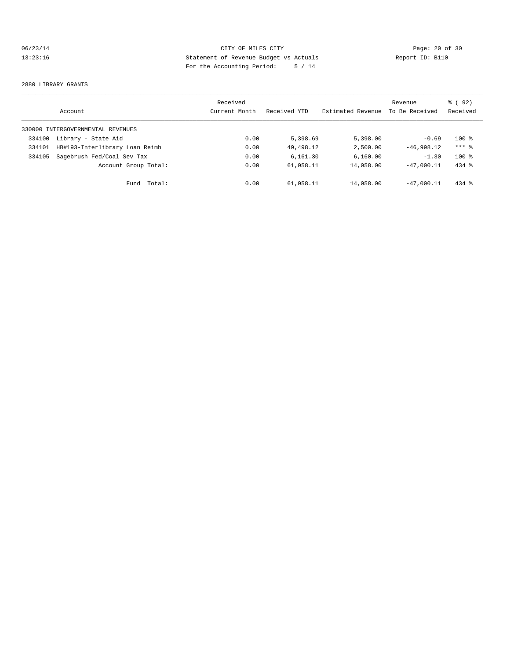# 06/23/14 Page: 20 of 30 13:23:16 Statement of Revenue Budget vs Actuals Report ID: B110 For the Accounting Period: 5 / 14

#### 2880 LIBRARY GRANTS

|        | Account                           | Received<br>Current Month | Received YTD | Estimated Revenue | Revenue<br>To Be Received | % ( 92 )<br>Received |
|--------|-----------------------------------|---------------------------|--------------|-------------------|---------------------------|----------------------|
|        | 330000 INTERGOVERNMENTAL REVENUES |                           |              |                   |                           |                      |
| 334100 | Library - State Aid               | 0.00                      | 5,398.69     | 5,398.00          | $-0.69$                   | $100*$               |
| 334101 | HB#193-Interlibrary Loan Reimb    | 0.00                      | 49, 498, 12  | 2,500.00          | $-46.998.12$              | $***$ 2              |
| 334105 | Sagebrush Fed/Coal Sev Tax        | 0.00                      | 6.161.30     | 6,160.00          | $-1.30$                   | $100*$               |
|        | Account Group Total:              | 0.00                      | 61,058.11    | 14,058.00         | $-47.000.11$              | $434$ $%$            |
|        | Total:<br>Fund                    | 0.00                      | 61,058.11    | 14,058.00         | $-47.000.11$              | $434$ $%$            |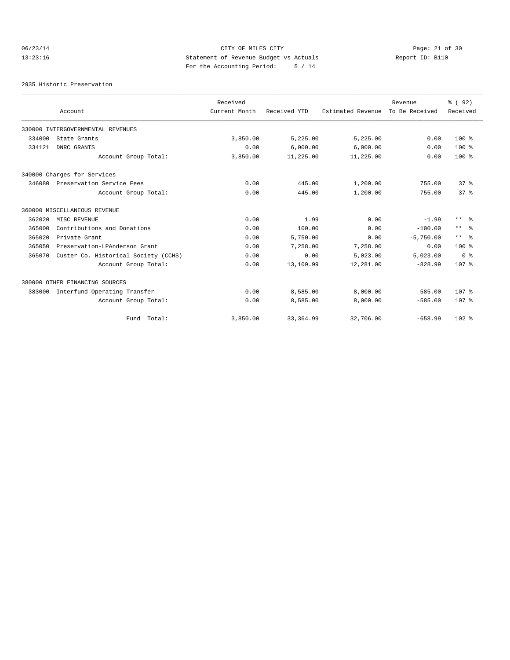# 06/23/14 Page: 21 of 30 13:23:16 Statement of Revenue Budget vs Actuals Report ID: B110 For the Accounting Period: 5 / 14

2935 Historic Preservation

|        |                                      | Received      |              |                   | Revenue        | % ( 92 )                   |
|--------|--------------------------------------|---------------|--------------|-------------------|----------------|----------------------------|
|        | Account                              | Current Month | Received YTD | Estimated Revenue | To Be Received | Received                   |
|        | 330000 INTERGOVERNMENTAL REVENUES    |               |              |                   |                |                            |
| 334000 | State Grants                         | 3,850.00      | 5,225.00     | 5,225.00          | 0.00           | $100*$                     |
| 334121 | DNRC GRANTS                          | 0.00          | 6,000.00     | 6,000.00          | 0.00           | $100*$                     |
|        | Account Group Total:                 | 3,850.00      | 11,225.00    | 11,225.00         | 0.00           | $100*$                     |
|        | 340000 Charges for Services          |               |              |                   |                |                            |
|        | 346080 Preservation Service Fees     | 0.00          | 445.00       | 1,200.00          | 755.00         | 37 <sup>8</sup>            |
|        | Account Group Total:                 | 0.00          | 445.00       | 1,200.00          | 755.00         | 37 <sup>8</sup>            |
|        | 360000 MISCELLANEOUS REVENUE         |               |              |                   |                |                            |
| 362020 | MISC REVENUE                         | 0.00          | 1.99         | 0.00              | $-1.99$        | $\star\star$<br>- 옹        |
| 365000 | Contributions and Donations          | 0.00          | 100.00       | 0.00              | $-100.00$      | $\star\star$<br>ু ৯        |
| 365020 | Private Grant                        | 0.00          | 5,750.00     | 0.00              | $-5,750.00$    | $\star \star$<br>$\approx$ |
| 365050 | Preservation-LPAnderson Grant        | 0.00          | 7,258.00     | 7,258.00          | 0.00           | $100*$                     |
| 365070 | Custer Co. Historical Society (CCHS) | 0.00          | 0.00         | 5,023.00          | 5,023.00       | 0 <sup>8</sup>             |
|        | Account Group Total:                 | 0.00          | 13,109.99    | 12,281.00         | $-828.99$      | 107 <sub>8</sub>           |
|        | 380000 OTHER FINANCING SOURCES       |               |              |                   |                |                            |
| 383000 | Interfund Operating Transfer         | 0.00          | 8,585.00     | 8,000.00          | $-585.00$      | 107 <sub>8</sub>           |
|        | Account Group Total:                 | 0.00          | 8,585.00     | 8,000.00          | $-585.00$      | 107 <sub>8</sub>           |
|        | Fund Total:                          | 3,850.00      | 33, 364.99   | 32,706.00         | $-658.99$      | $102$ %                    |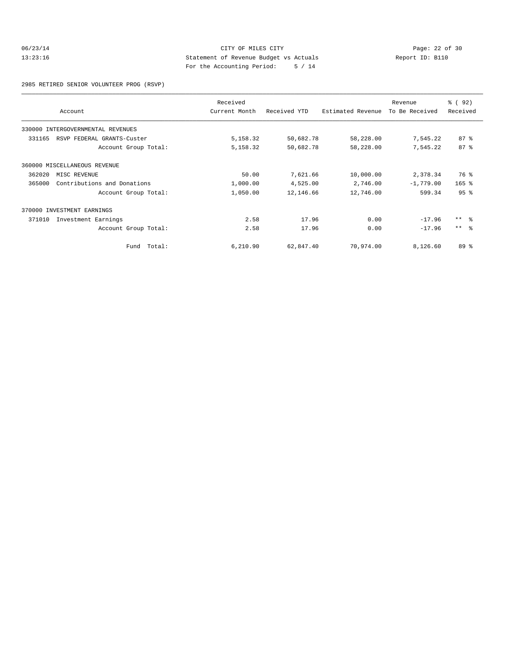# 06/23/14 Page: 22 of 30<br>13:23:16 CITY OF MILES CITY Page: 22 of 30<br>13:23:16 Statement of Revenue Budget vs Actuals<br>For the Accounting Boules City of 14 13:23:16 Statement of Revenue Budget vs Actuals Report ID: B110 For the Accounting Period: 5 / 14

2985 RETIRED SENIOR VOLUNTEER PROG (RSVP)

|        | Account                           | Received<br>Current Month | Received YTD | Estimated Revenue | Revenue<br>To Be Received | % ( 92 )<br>Received |
|--------|-----------------------------------|---------------------------|--------------|-------------------|---------------------------|----------------------|
|        | 330000 INTERGOVERNMENTAL REVENUES |                           |              |                   |                           |                      |
| 331165 | RSVP FEDERAL GRANTS-Custer        | 5,158.32                  | 50,682.78    | 58,228.00         | 7,545.22                  | $87 - 8$             |
|        | Account Group Total:              | 5,158.32                  | 50,682.78    | 58,228.00         | 7,545.22                  | $87 - 8$             |
|        | 360000 MISCELLANEOUS REVENUE      |                           |              |                   |                           |                      |
| 362020 | MISC REVENUE                      | 50.00                     | 7,621.66     | 10,000.00         | 2,378.34                  | 76 %                 |
| 365000 | Contributions and Donations       | 1,000.00                  | 4,525.00     | 2,746.00          | $-1,779.00$               | $165$ %              |
|        | Account Group Total:              | 1,050.00                  | 12,146.66    | 12,746.00         | 599.34                    | 95 <sup>8</sup>      |
|        | 370000 INVESTMENT EARNINGS        |                           |              |                   |                           |                      |
| 371010 | Investment Earnings               | 2.58                      | 17.96        | 0.00              | $-17.96$                  | $***$ $ -$           |
|        | Account Group Total:              | 2.58                      | 17.96        | 0.00              | $-17.96$                  | $***$ $ -$           |
|        | Fund Total:                       | 6,210.90                  | 62,847.40    | 70,974.00         | 8,126.60                  | $89*$                |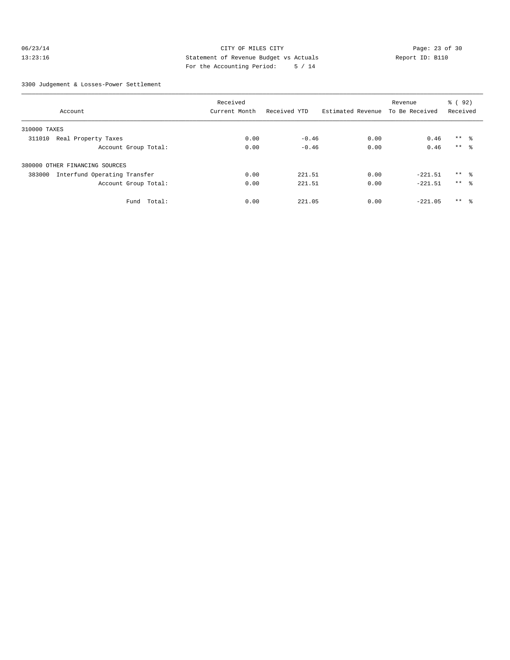# 06/23/14 Page: 23 of 30 13:23:16 Statement of Revenue Budget vs Actuals Report ID: B110 For the Accounting Period: 5 / 14

3300 Judgement & Losses-Power Settlement

|                                        | Received      |              |                   | Revenue        | 8 (92)          |  |
|----------------------------------------|---------------|--------------|-------------------|----------------|-----------------|--|
| Account                                | Current Month | Received YTD | Estimated Revenue | To Be Received | Received        |  |
| 310000 TAXES                           |               |              |                   |                |                 |  |
| Real Property Taxes<br>311010          | 0.00          | $-0.46$      | 0.00              | 0.46           | $***$ $\approx$ |  |
| Account Group Total:                   | 0.00          | $-0.46$      | 0.00              | 0.46           | $***$ 8         |  |
| 380000 OTHER FINANCING SOURCES         |               |              |                   |                |                 |  |
| Interfund Operating Transfer<br>383000 | 0.00          | 221.51       | 0.00              | $-221.51$      | $***$ $\approx$ |  |
| Account Group Total:                   | 0.00          | 221.51       | 0.00              | $-221.51$      | $***$ $\approx$ |  |
| Fund<br>Total:                         | 0.00          | 221.05       | 0.00              | $-221.05$      | $***$ $\approx$ |  |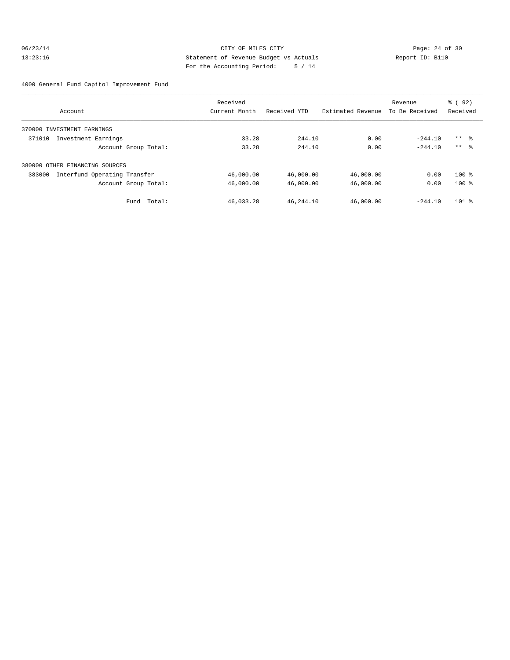# 06/23/14 Page: 24 of 30 13:23:16 Statement of Revenue Budget vs Actuals Report ID: B110 For the Accounting Period: 5 / 14

4000 General Fund Capitol Improvement Fund

|                                        | Received      |              |                   | Revenue        | 8 (92)   |
|----------------------------------------|---------------|--------------|-------------------|----------------|----------|
| Account                                | Current Month | Received YTD | Estimated Revenue | To Be Received | Received |
| 370000 INVESTMENT EARNINGS             |               |              |                   |                |          |
| 371010<br>Investment Earnings          | 33.28         | 244.10       | 0.00              | $-244.10$      | $***$ %  |
| Account Group Total:                   | 33.28         | 244.10       | 0.00              | $-244.10$      | $***$ %  |
| 380000 OTHER FINANCING SOURCES         |               |              |                   |                |          |
| 383000<br>Interfund Operating Transfer | 46,000.00     | 46,000.00    | 46,000.00         | 0.00           | $100*$   |
| Account Group Total:                   | 46,000.00     | 46,000.00    | 46,000.00         | 0.00           | $100*$   |
| Total:<br>Fund                         | 46,033.28     | 46,244.10    | 46,000.00         | $-244.10$      | $101$ %  |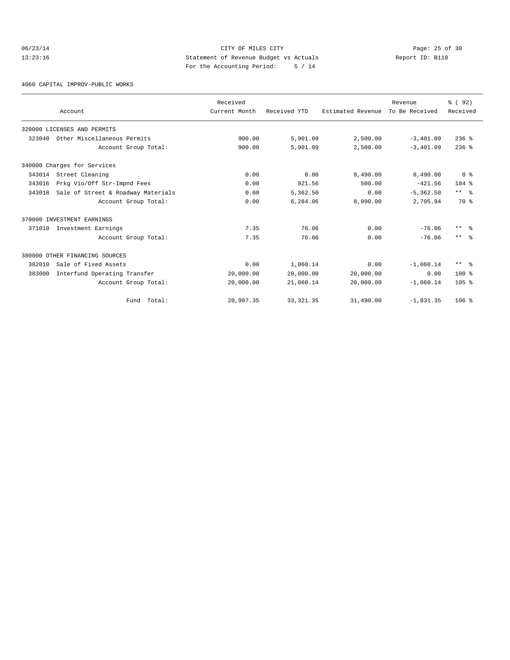# 06/23/14 Page: 25 of 30 13:23:16 Statement of Revenue Budget vs Actuals Report ID: B110 For the Accounting Period: 5 / 14

4060 CAPITAL IMPROV-PUBLIC WORKS

|        | Account                            | Received<br>Current Month | Received YTD | Estimated Revenue | Revenue<br>To Be Received | % (92)<br>Received |
|--------|------------------------------------|---------------------------|--------------|-------------------|---------------------------|--------------------|
|        | 320000 LICENSES AND PERMITS        |                           |              |                   |                           |                    |
| 323040 | Other Miscellaneous Permits        | 900.00                    | 5,901.09     | 2,500.00          | $-3,401.09$               | $236$ %            |
|        | Account Group Total:               | 900.00                    | 5,901.09     | 2,500.00          | $-3,401.09$               | $236$ $%$          |
|        | 340000 Charges for Services        |                           |              |                   |                           |                    |
| 343014 | Street Cleaning                    | 0.00                      | 0.00         | 8,490.00          | 8,490.00                  | 0 <sup>8</sup>     |
| 343016 | Prkg Vio/Off Str-Impnd Fees        | 0.00                      | 921.56       | 500.00            | $-421.56$                 | 184 %              |
| 343018 | Sale of Street & Roadway Materials | 0.00                      | 5,362.50     | 0.00              | $-5, 362.50$              | $***$ $ -$         |
|        | Account Group Total:               | 0.00                      | 6,284.06     | 8,990.00          | 2,705.94                  | 70 %               |
|        | 370000 INVESTMENT EARNINGS         |                           |              |                   |                           |                    |
| 371010 | Investment Earnings                | 7.35                      | 76.06        | 0.00              | $-76.06$                  | $***$ $ -$         |
|        | Account Group Total:               | 7.35                      | 76.06        | 0.00              | $-76.06$                  | $***$ $\approx$    |
|        | 380000 OTHER FINANCING SOURCES     |                           |              |                   |                           |                    |
| 382010 | Sale of Fixed Assets               | 0.00                      | 1,060.14     | 0.00              | $-1,060.14$               | $***$ $ -$         |
| 383000 | Interfund Operating Transfer       | 20,000.00                 | 20,000.00    | 20,000.00         | 0.00                      | $100*$             |
|        | Account Group Total:               | 20,000.00                 | 21,060.14    | 20,000.00         | $-1,060.14$               | 105 <sub>8</sub>   |
|        | Fund Total:                        | 20,907.35                 | 33, 321.35   | 31,490.00         | $-1,831.35$               | $106$ %            |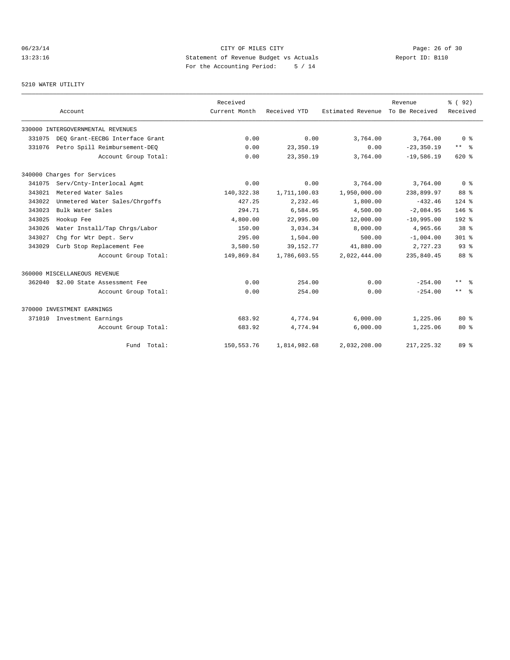# 06/23/14 Page: 26 of 30 13:23:16 Statement of Revenue Budget vs Actuals Report ID: B110 For the Accounting Period: 5 / 14

# 5210 WATER UTILITY

|        | Account                            | Received<br>Current Month | Received YTD | Estimated Revenue | Revenue<br>To Be Received | % (92)<br>Received  |
|--------|------------------------------------|---------------------------|--------------|-------------------|---------------------------|---------------------|
|        | 330000 INTERGOVERNMENTAL REVENUES  |                           |              |                   |                           |                     |
| 331075 | DEO Grant-EECBG Interface Grant    | 0.00                      | 0.00         | 3,764.00          | 3,764.00                  | 0 <sup>8</sup>      |
| 331076 | Petro Spill Reimbursement-DEQ      | 0.00                      | 23,350.19    | 0.00              | $-23, 350.19$             | $***$ $ -$          |
|        | Account Group Total:               | 0.00                      | 23,350.19    | 3,764.00          | $-19,586.19$              | 620%                |
|        | 340000 Charges for Services        |                           |              |                   |                           |                     |
| 341075 | Serv/Cnty-Interlocal Agmt          | 0.00                      | 0.00         | 3,764.00          | 3,764.00                  | 0 <sup>8</sup>      |
| 343021 | Metered Water Sales                | 140, 322. 38              | 1,711,100.03 | 1,950,000.00      | 238,899.97                | 88 %                |
| 343022 | Unmetered Water Sales/Chrgoffs     | 427.25                    | 2,232.46     | 1,800.00          | $-432.46$                 | $124$ %             |
| 343023 | Bulk Water Sales                   | 294.71                    | 6,584.95     | 4,500.00          | $-2.084.95$               | $146*$              |
| 343025 | Hookup Fee                         | 4,800.00                  | 22,995.00    | 12,000.00         | $-10,995.00$              | $192*$              |
| 343026 | Water Install/Tap Chrgs/Labor      | 150.00                    | 3,034.34     | 8,000.00          | 4,965.66                  | 38 <sup>8</sup>     |
| 343027 | Chg for Wtr Dept. Serv             | 295.00                    | 1,504.00     | 500.00            | $-1,004.00$               | $301$ %             |
| 343029 | Curb Stop Replacement Fee          | 3,580.50                  | 39, 152. 77  | 41,880.00         | 2,727.23                  | $93$ $%$            |
|        | Account Group Total:               | 149,869.84                | 1,786,603.55 | 2,022,444.00      | 235,840.45                | 88 %                |
|        | 360000 MISCELLANEOUS REVENUE       |                           |              |                   |                           |                     |
|        | 362040 \$2.00 State Assessment Fee | 0.00                      | 254.00       | 0.00              | $-254.00$                 | $\star\star$<br>- 옹 |
|        | Account Group Total:               | 0.00                      | 254.00       | 0.00              | $-254.00$                 | $***$ $ -$          |
|        | 370000 INVESTMENT EARNINGS         |                           |              |                   |                           |                     |
| 371010 | Investment Earnings                | 683.92                    | 4,774.94     | 6,000.00          | 1,225.06                  | $80*$               |
|        | Account Group Total:               | 683.92                    | 4,774.94     | 6,000.00          | 1,225.06                  | $80*$               |
|        | Fund Total:                        | 150,553.76                | 1,814,982.68 | 2,032,208.00      | 217, 225, 32              | 89 %                |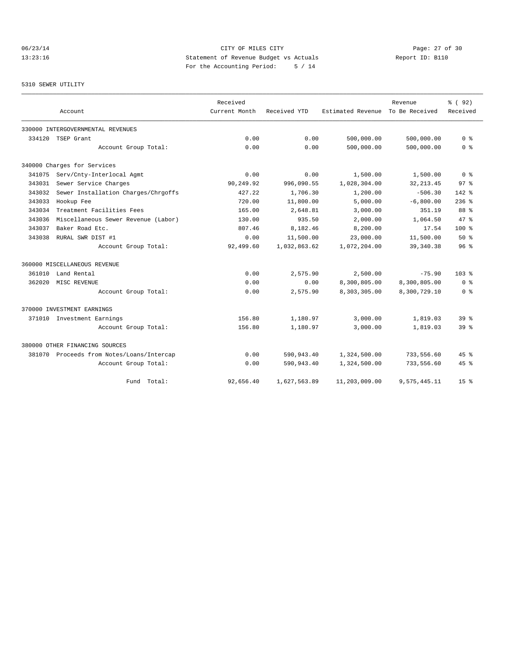# 06/23/14 Page: 27 of 30 13:23:16 Statement of Revenue Budget vs Actuals Report ID: B110 For the Accounting Period: 5 / 14

#### 5310 SEWER UTILITY

|        | Account                                   | Received<br>Current Month | Received YTD | Estimated Revenue | Revenue<br>To Be Received | % ( 92)<br>Received |
|--------|-------------------------------------------|---------------------------|--------------|-------------------|---------------------------|---------------------|
|        |                                           |                           |              |                   |                           |                     |
|        | 330000 INTERGOVERNMENTAL REVENUES         |                           |              |                   |                           |                     |
| 334120 | TSEP Grant                                | 0.00                      | 0.00         | 500,000.00        | 500,000.00                | 0 <sup>8</sup>      |
|        | Account Group Total:                      | 0.00                      | 0.00         | 500,000.00        | 500,000.00                | 0 <sup>8</sup>      |
|        | 340000 Charges for Services               |                           |              |                   |                           |                     |
| 341075 | Serv/Cnty-Interlocal Agmt                 | 0.00                      | 0.00         | 1,500.00          | 1,500.00                  | 0 <sup>8</sup>      |
| 343031 | Sewer Service Charges                     | 90,249.92                 | 996,090.55   | 1,028,304.00      | 32, 213.45                | 97 <sup>8</sup>     |
| 343032 | Sewer Installation Charges/Chrgoffs       | 427.22                    | 1,706.30     | 1,200.00          | $-506.30$                 | $142*$              |
| 343033 | Hookup Fee                                | 720.00                    | 11,800.00    | 5,000.00          | $-6,800.00$               | $236$ %             |
| 343034 | Treatment Facilities Fees                 | 165.00                    | 2,648.81     | 3,000.00          | 351.19                    | 88 %                |
| 343036 | Miscellaneous Sewer Revenue (Labor)       | 130.00                    | 935.50       | 2,000.00          | 1,064.50                  | 47.8                |
| 343037 | Baker Road Etc.                           | 807.46                    | 8,182.46     | 8,200.00          | 17.54                     | $100*$              |
| 343038 | RURAL SWR DIST #1                         | 0.00                      | 11,500.00    | 23,000.00         | 11,500.00                 | 50%                 |
|        | Account Group Total:                      | 92,499.60                 | 1,032,863.62 | 1,072,204.00      | 39, 340. 38               | 96 <sup>°</sup>     |
|        | 360000 MISCELLANEOUS REVENUE              |                           |              |                   |                           |                     |
| 361010 | Land Rental                               | 0.00                      | 2,575.90     | 2,500.00          | $-75.90$                  | 103 <sub>8</sub>    |
| 362020 | MISC REVENUE                              | 0.00                      | 0.00         | 8,300,805.00      | 8,300,805.00              | 0 %                 |
|        | Account Group Total:                      | 0.00                      | 2,575.90     | 8,303,305.00      | 8,300,729.10              | 0 <sup>8</sup>      |
|        | 370000 INVESTMENT EARNINGS                |                           |              |                   |                           |                     |
|        | 371010 Investment Earnings                | 156.80                    | 1,180.97     | 3,000.00          | 1,819.03                  | 39.8                |
|        | Account Group Total:                      | 156.80                    | 1,180.97     | 3,000.00          | 1,819.03                  | 39 <sup>8</sup>     |
|        | 380000 OTHER FINANCING SOURCES            |                           |              |                   |                           |                     |
|        | 381070 Proceeds from Notes/Loans/Intercap | 0.00                      | 590,943.40   | 1,324,500.00      | 733,556.60                | $45$ $\frac{6}{3}$  |
|        | Account Group Total:                      | 0.00                      | 590,943.40   | 1,324,500.00      | 733,556.60                | $45$ $\frac{6}{3}$  |
|        | Total:<br>Fund                            | 92,656.40                 | 1,627,563.89 | 11,203,009.00     | 9,575,445.11              | 15 <sup>8</sup>     |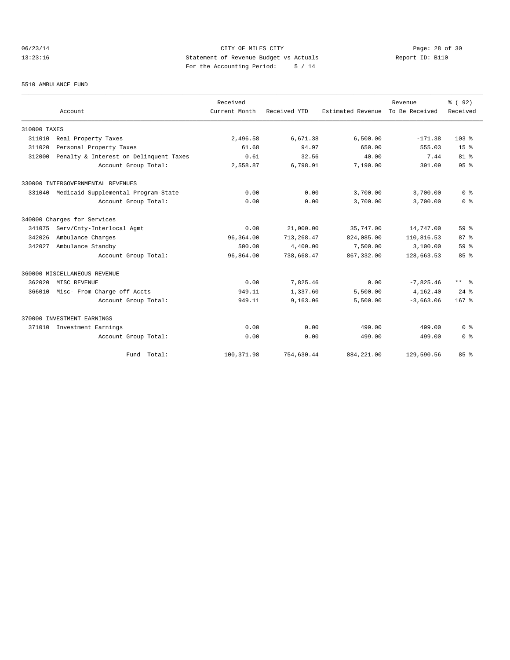# 06/23/14 Page: 28 of 30 13:23:16 Statement of Revenue Budget vs Actuals Report ID: B110 For the Accounting Period: 5 / 14

#### 5510 AMBULANCE FUND

|              | Account                                | Received<br>Current Month | Received YTD | Estimated Revenue | Revenue<br>To Be Received | % (92)<br>Received   |
|--------------|----------------------------------------|---------------------------|--------------|-------------------|---------------------------|----------------------|
|              |                                        |                           |              |                   |                           |                      |
| 310000 TAXES |                                        |                           |              |                   |                           |                      |
| 311010       | Real Property Taxes                    | 2,496.58                  | 6,671.38     | 6,500.00          | $-171.38$                 | 103 <sub>8</sub>     |
| 311020       | Personal Property Taxes                | 61.68                     | 94.97        | 650.00            | 555.03                    | 15 <sup>8</sup>      |
| 312000       | Penalty & Interest on Delinquent Taxes | 0.61                      | 32.56        | 40.00             | 7.44                      | $81$ %               |
|              | Account Group Total:                   | 2,558.87                  | 6,798.91     | 7,190.00          | 391.09                    | 95%                  |
|              | 330000 INTERGOVERNMENTAL REVENUES      |                           |              |                   |                           |                      |
| 331040       | Medicaid Supplemental Program-State    | 0.00                      | 0.00         | 3,700.00          | 3,700.00                  | 0 <sup>8</sup>       |
|              | Account Group Total:                   | 0.00                      | 0.00         | 3,700.00          | 3,700.00                  | 0 <sup>8</sup>       |
|              | 340000 Charges for Services            |                           |              |                   |                           |                      |
| 341075       | Serv/Cnty-Interlocal Agmt              | 0.00                      | 21,000.00    | 35,747.00         | 14,747.00                 | 59 <sup>8</sup>      |
| 342026       | Ambulance Charges                      | 96,364.00                 | 713, 268, 47 | 824,085.00        | 110,816.53                | 87%                  |
| 342027       | Ambulance Standby                      | 500.00                    | 4,400.00     | 7,500.00          | 3,100.00                  | 59 <sup>8</sup>      |
|              | Account Group Total:                   | 96,864.00                 | 738,668.47   | 867, 332, 00      | 128,663.53                | 85%                  |
|              | 360000 MISCELLANEOUS REVENUE           |                           |              |                   |                           |                      |
| 362020       | MISC REVENUE                           | 0.00                      | 7,825.46     | 0.00              | $-7,825.46$               | $***$ $ \frac{6}{9}$ |
| 366010       | Misc- From Charge off Accts            | 949.11                    | 1,337.60     | 5,500.00          | 4,162.40                  | $24$ $%$             |
|              | Account Group Total:                   | 949.11                    | 9,163.06     | 5,500.00          | $-3.663.06$               | $167$ %              |
|              | 370000 INVESTMENT EARNINGS             |                           |              |                   |                           |                      |
| 371010       | Investment Earnings                    | 0.00                      | 0.00         | 499.00            | 499.00                    | 0 <sup>8</sup>       |
|              | Account Group Total:                   | 0.00                      | 0.00         | 499.00            | 499.00                    | 0 <sup>8</sup>       |
|              | Fund Total:                            | 100, 371.98               | 754,630.44   | 884, 221.00       | 129,590.56                | 85%                  |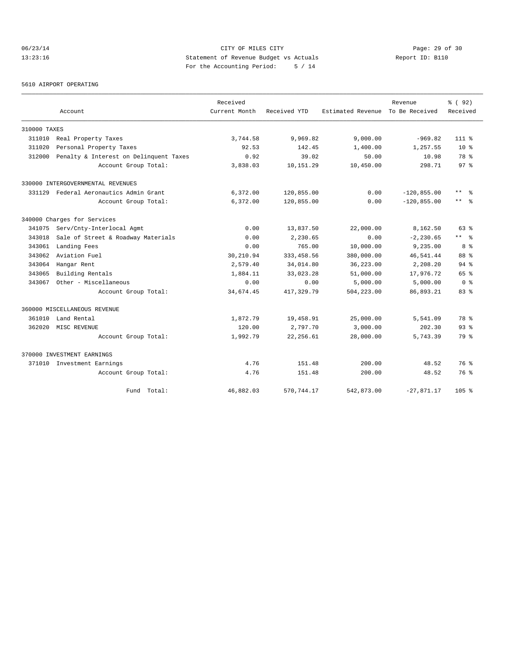# 06/23/14 Page: 29 of 30 13:23:16 Statement of Revenue Budget vs Actuals Report ID: B110 For the Accounting Period: 5 / 14

5610 AIRPORT OPERATING

|              |                                        | Received      |              |                   | Revenue        | % ( 92)             |
|--------------|----------------------------------------|---------------|--------------|-------------------|----------------|---------------------|
|              | Account                                | Current Month | Received YTD | Estimated Revenue | To Be Received | Received            |
| 310000 TAXES |                                        |               |              |                   |                |                     |
| 311010       | Real Property Taxes                    | 3,744.58      | 9,969.82     | 9,000.00          | $-969.82$      | $111*$              |
| 311020       | Personal Property Taxes                | 92.53         | 142.45       | 1,400.00          | 1,257.55       | $10*$               |
| 312000       | Penalty & Interest on Delinquent Taxes | 0.92          | 39.02        | 50.00             | 10.98          | 78 %                |
|              | Account Group Total:                   | 3,838.03      | 10,151.29    | 10,450.00         | 298.71         | 97 <sup>8</sup>     |
|              | 330000 INTERGOVERNMENTAL REVENUES      |               |              |                   |                |                     |
|              | 331129 Federal Aeronautics Admin Grant | 6,372.00      | 120,855.00   | 0.00              | $-120, 855.00$ | $\star\star$<br>- 옹 |
|              | Account Group Total:                   | 6,372.00      | 120,855.00   | 0.00              | $-120, 855.00$ | $***$ 8             |
|              | 340000 Charges for Services            |               |              |                   |                |                     |
| 341075       | Serv/Cnty-Interlocal Agmt              | 0.00          | 13,837.50    | 22,000.00         | 8,162.50       | $63$ $%$            |
| 343018       | Sale of Street & Roadway Materials     | 0.00          | 2,230.65     | 0.00              | $-2, 230.65$   | $***$ %             |
| 343061       | Landing Fees                           | 0.00          | 765.00       | 10,000.00         | 9,235.00       | 8 %                 |
| 343062       | Aviation Fuel                          | 30,210.94     | 333, 458.56  | 380,000.00        | 46,541.44      | 88 %                |
| 343064       | Hangar Rent                            | 2,579.40      | 34,014.80    | 36,223.00         | 2,208.20       | 94%                 |
| 343065       | Building Rentals                       | 1,884.11      | 33,023.28    | 51,000.00         | 17,976.72      | 65 %                |
| 343067       | Other - Miscellaneous                  | 0.00          | 0.00         | 5,000.00          | 5,000.00       | 0 <sup>8</sup>      |
|              | Account Group Total:                   | 34,674.45     | 417,329.79   | 504,223.00        | 86,893.21      | 83%                 |
|              | 360000 MISCELLANEOUS REVENUE           |               |              |                   |                |                     |
| 361010       | Land Rental                            | 1,872.79      | 19,458.91    | 25,000.00         | 5,541.09       | 78 %                |
| 362020       | MISC REVENUE                           | 120.00        | 2,797.70     | 3,000.00          | 202.30         | $93$ $%$            |
|              | Account Group Total:                   | 1,992.79      | 22, 256.61   | 28,000.00         | 5,743.39       | 79 %                |
|              | 370000 INVESTMENT EARNINGS             |               |              |                   |                |                     |
|              | 371010 Investment Earnings             | 4.76          | 151.48       | 200.00            | 48.52          | 76%                 |
|              | Account Group Total:                   | 4.76          | 151.48       | 200.00            | 48.52          | 76 %                |
|              | Fund Total:                            | 46,882.03     | 570,744.17   | 542,873.00        | $-27,871.17$   | 105 <sub>8</sub>    |